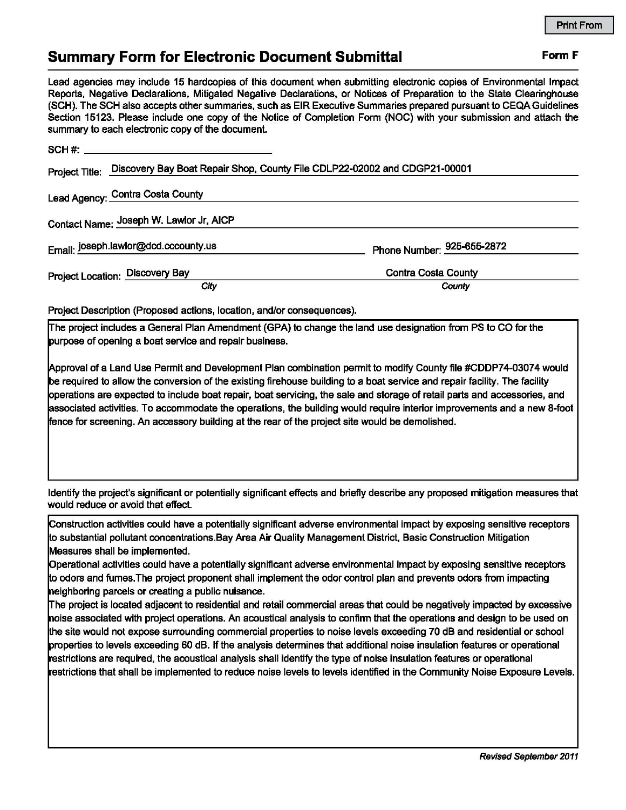## **Summary Form for Electronic Document Submittal Form F Form F**

Lead agencies may include 15 hardcopies of this document when submitting electronic copies of Environmental Impact Reports, Negative Declarations, Mitigated Negative Declarations, or Notices of Preparation to the State Clearinghouse (SCH). The SCH also accepts other summaries, such as EIR Executive Summaries prepared pursuant to CEQA Guidelines Section 15123. Please include one copy of the Notice of Completion Form (NOC) with your submission and attach the summary to each electronic copy of the document.

| Project Title: Discovery Bay Boat Repair Shop, County File CDLP22-02002 and CDGP21-00001 |                            |
|------------------------------------------------------------------------------------------|----------------------------|
| Lead Agency: Contra Costa County                                                         |                            |
| Contact Name: Joseph W. Lawlor Jr, AICP                                                  |                            |
| Email: joseph.lawlor@dcd.cccounty.us                                                     | Phone Number: 925-655-2872 |
| Project Location: Discovery Bay                                                          | <b>Contra Costa County</b> |
| City                                                                                     | County                     |

Project Description (Proposed actions, location, and/or consequences).

!The project includes a General Plan Amendment (GPA) to change the land use designation from PS to CO for the purpose of opening a boat service and repair business.

~pproval of a Land Use Permit and Development Plan combination permit to modify County file #CDDP74-03074 would be required to allow the conversion of the existing firehouse building to a boat service and repair facility. The facility pperations are expected to include boat repair, boat servicing, the sale and storage of retail parts and accessories, and ~ssociated activities. To accommodate the operations, the building would require interior improvements and a new 8-foot fence for screening. An accessory building at the rear of the project site would be demolished.

Identify the project's significant or potentially significant effects and briefly describe any proposed mitigation measures that would reduce or avoid that effect.

Construction activities could have a potentially significant adverse environmental impact by exposing sensitive receptors lo substantial pollutant concentrations.Bay Area Air Quality Management District, Basic Construction Mitigation Measures shall be implemented.

Operational activities could have a potentially significant adverse environmental impact by exposing sensitive receptors lo odors and fumes.The project proponent shall implement the odor control plan and prevents odors from impacting heighboring parcels or creating a public nuisance.

The project is located adjacent to residential and retail commercial areas that could be negatively impacted by excessive noise associated with project operations. An acoustical analysis to confirm that the operations and design to be used on lhe site would not expose surrounding commercial properties to noise levels exceeding 70 dB and residential or school properties to levels exceeding 60 dB. If the analysis determines that additional noise insulation features or operational restrictions are required, the acoustical analysis shall identify the type of noise insulation features or operational restrictions that shall be implemented to reduce noise levels to levels identified in the Community Noise Exposure Levels.